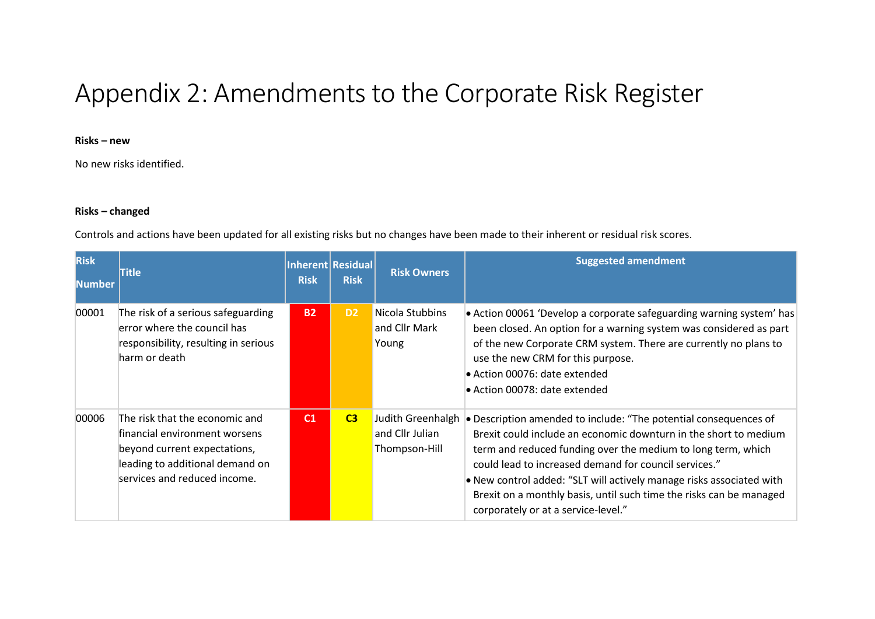# Appendix 2: Amendments to the Corporate Risk Register

### **Risks – new**

No new risks identified.

#### **Risks – changed**

Controls and actions have been updated for all existing risks but no changes have been made to their inherent or residual risk scores.

| <b>Risk</b><br><b>Number</b> | <b>Title</b>                                                                                                                                                       | <b>Risk</b>    | Inherent Residual<br><b>Risk</b> | <b>Risk Owners</b>                                    | <b>Suggested amendment</b>                                                                                                                                                                                                                                                                                                                                                                                                                          |
|------------------------------|--------------------------------------------------------------------------------------------------------------------------------------------------------------------|----------------|----------------------------------|-------------------------------------------------------|-----------------------------------------------------------------------------------------------------------------------------------------------------------------------------------------------------------------------------------------------------------------------------------------------------------------------------------------------------------------------------------------------------------------------------------------------------|
| 00001                        | The risk of a serious safeguarding<br>error where the council has<br>responsibility, resulting in serious<br>harm or death                                         | <b>B2</b>      | D <sub>2</sub>                   | Nicola Stubbins<br>and Cllr Mark<br>Young             | • Action 00061 'Develop a corporate safeguarding warning system' has<br>been closed. An option for a warning system was considered as part<br>of the new Corporate CRM system. There are currently no plans to<br>use the new CRM for this purpose.<br>• Action 00076: date extended<br>• Action 00078: date extended                                                                                                                               |
| 00006                        | The risk that the economic and<br>financial environment worsens<br>beyond current expectations,<br>leading to additional demand on<br>services and reduced income. | C <sub>1</sub> | C <sub>3</sub>                   | Judith Greenhalgh<br>and Cllr Julian<br>Thompson-Hill | • Description amended to include: "The potential consequences of<br>Brexit could include an economic downturn in the short to medium<br>term and reduced funding over the medium to long term, which<br>could lead to increased demand for council services."<br>. New control added: "SLT will actively manage risks associated with<br>Brexit on a monthly basis, until such time the risks can be managed<br>corporately or at a service-level." |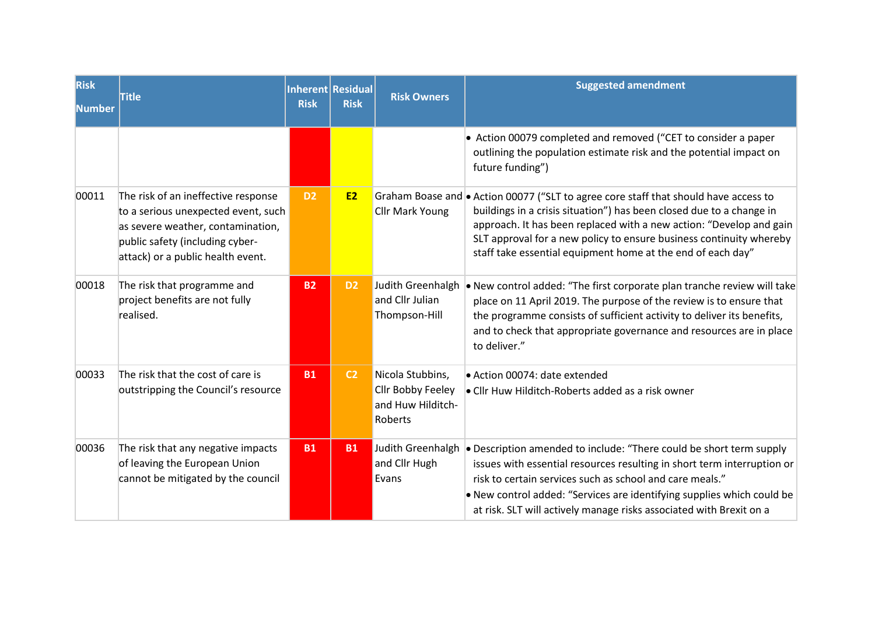| Risk<br><b>Number</b> | <b>Title</b>                                                                                                                                                                            | Inherent Residual<br><b>Risk</b> | <b>Risk</b>    | <b>Risk Owners</b>                                                    | <b>Suggested amendment</b>                                                                                                                                                                                                                                                                                                                                                |  |  |
|-----------------------|-----------------------------------------------------------------------------------------------------------------------------------------------------------------------------------------|----------------------------------|----------------|-----------------------------------------------------------------------|---------------------------------------------------------------------------------------------------------------------------------------------------------------------------------------------------------------------------------------------------------------------------------------------------------------------------------------------------------------------------|--|--|
|                       |                                                                                                                                                                                         |                                  |                |                                                                       | • Action 00079 completed and removed ("CET to consider a paper<br>outlining the population estimate risk and the potential impact on<br>future funding")                                                                                                                                                                                                                  |  |  |
| 00011                 | The risk of an ineffective response<br>to a serious unexpected event, such<br>as severe weather, contamination,<br>public safety (including cyber-<br>attack) or a public health event. | D <sub>2</sub>                   | <b>E2</b>      | <b>Cllr Mark Young</b>                                                | Graham Boase and • Action 00077 ("SLT to agree core staff that should have access to<br>buildings in a crisis situation") has been closed due to a change in<br>approach. It has been replaced with a new action: "Develop and gain<br>SLT approval for a new policy to ensure business continuity whereby<br>staff take essential equipment home at the end of each day" |  |  |
| 00018                 | The risk that programme and<br>project benefits are not fully<br>realised.                                                                                                              | <b>B2</b>                        | D <sub>2</sub> | Judith Greenhalgh<br>and Cllr Julian<br>Thompson-Hill                 | . New control added: "The first corporate plan tranche review will take<br>place on 11 April 2019. The purpose of the review is to ensure that<br>the programme consists of sufficient activity to deliver its benefits,<br>and to check that appropriate governance and resources are in place<br>to deliver."                                                           |  |  |
| 00033                 | The risk that the cost of care is<br>outstripping the Council's resource                                                                                                                | <b>B1</b>                        | C <sub>2</sub> | Nicola Stubbins,<br>Cllr Bobby Feeley<br>and Huw Hilditch-<br>Roberts | • Action 00074: date extended<br>• Cllr Huw Hilditch-Roberts added as a risk owner                                                                                                                                                                                                                                                                                        |  |  |
| 00036                 | The risk that any negative impacts<br>of leaving the European Union<br>cannot be mitigated by the council                                                                               | <b>B1</b>                        | <b>B1</b>      | Judith Greenhalgh<br>and Cllr Hugh<br>Evans                           | • Description amended to include: "There could be short term supply<br>issues with essential resources resulting in short term interruption or<br>risk to certain services such as school and care meals."<br>. New control added: "Services are identifying supplies which could be<br>at risk. SLT will actively manage risks associated with Brexit on a               |  |  |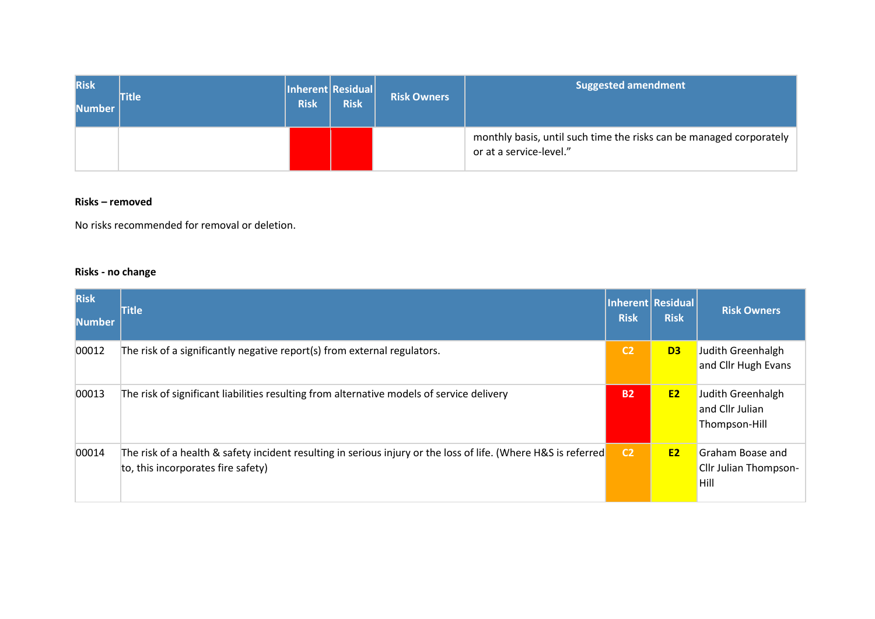| <b>Risk</b><br><b>Number</b> | <b>Title</b> | <b>Risk</b> | Inherent Residual <br><b>Risk</b> | <b>Risk Owners</b> | <b>Suggested amendment</b>                                                                     |
|------------------------------|--------------|-------------|-----------------------------------|--------------------|------------------------------------------------------------------------------------------------|
|                              |              |             |                                   |                    | monthly basis, until such time the risks can be managed corporately<br>or at a service-level." |

## **Risks – removed**

No risks recommended for removal or deletion.

# **Risks - no change**

| <b>Risk</b><br><b>Number</b> | <b>Title</b>                                                                                                                                         | <b>Risk</b>    | Inherent Residual<br><b>Risk</b> | <b>Risk Owners</b>                                       |
|------------------------------|------------------------------------------------------------------------------------------------------------------------------------------------------|----------------|----------------------------------|----------------------------------------------------------|
| 00012                        | The risk of a significantly negative report(s) from external regulators.                                                                             | C <sub>2</sub> | D <sub>3</sub>                   | Judith Greenhalgh<br>and Cllr Hugh Evans                 |
| 00013                        | The risk of significant liabilities resulting from alternative models of service delivery                                                            | <b>B2</b>      | <b>E2</b>                        | Judith Greenhalgh<br>and Cllr Julian<br>Thompson-Hill    |
| 00014                        | The risk of a health & safety incident resulting in serious injury or the loss of life. (Where H&S is referred<br>to, this incorporates fire safety) | C <sub>2</sub> | <b>E2</b>                        | <b>Graham Boase and</b><br>Cllr Julian Thompson-<br>Hill |